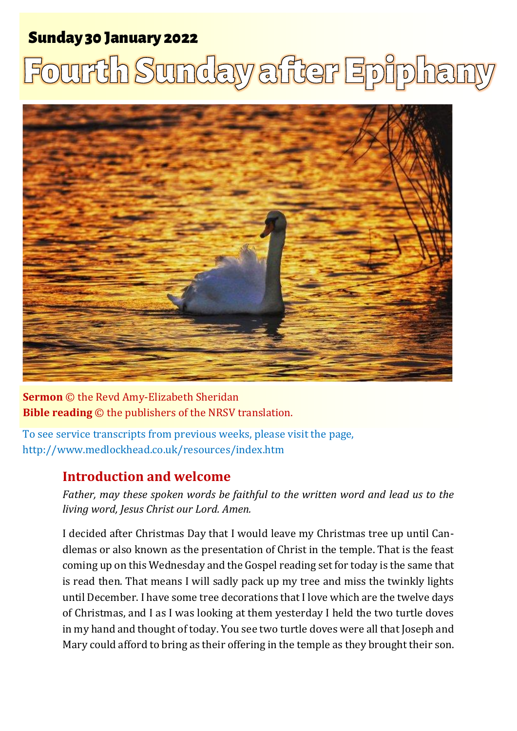## Sunday 30 January 2022 1 **Fourth Sunday after Epiphany** Sunday 30 January 2022

## ourth Sunday after Epiphany



**Sermon** © the Revd Amy-Elizabeth Sheridan **Bible reading** © the publishers of the NRSV translation.

To see service transcripts from previous weeks, please visit the page, <http://www.medlockhead.co.uk/resources/index.htm>

## **Introduction and welcome**

*Father, may these spoken words be faithful to the written word and lead us to the living word, Jesus Christ our Lord. Amen.* 

I decided after Christmas Day that I would leave my Christmas tree up until Candlemas or also known as the presentation of Christ in the temple. That is the feast coming up on this Wednesday and the Gospel reading set for today is the same that is read then. That means I will sadly pack up my tree and miss the twinkly lights until December. I have some tree decorations that I love which are the twelve days of Christmas, and I as I was looking at them yesterday I held the two turtle doves in my hand and thought of today. You see two turtle doves were all that Joseph and Mary could afford to bring as their offering in the temple as they brought their son.